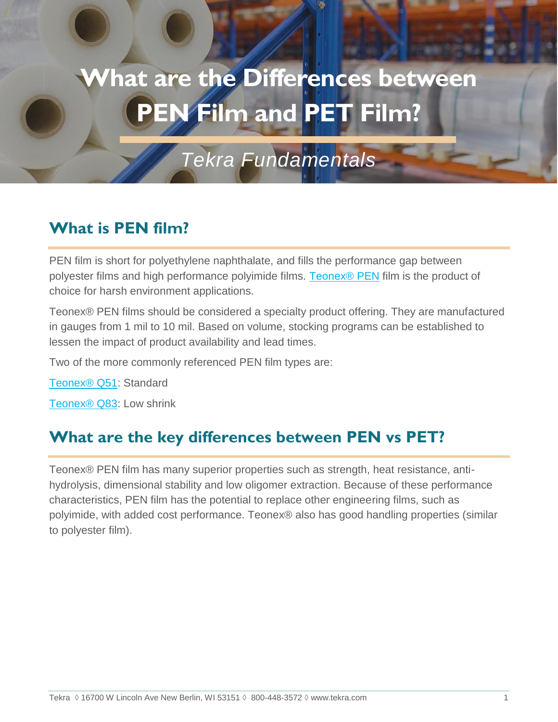# **What are the Differences between PEN Film and PET Film?**

*Tekra Fundamentals*

## **What is PEN film?**

PEN film is short for polyethylene naphthalate, and fills the performance gap between polyester films and high performance polyimide films. [Teonex® PEN](https://www.tekra.com/products/films/polyester-films/pen-harsh-environment-film/teonex-q83) film is the product of choice for harsh environment applications.

Teonex® PEN films should be considered a specialty product offering. They are manufactured in gauges from 1 mil to 10 mil. Based on volume, stocking programs can be established to lessen the impact of product availability and lead times.

Two of the more commonly referenced PEN film types are:

[Teonex® Q51:](https://www.tekra.com/products/films/polyester-films/pen-harsh-environment-film/teonex-q51) Standard

[Teonex® Q83:](https://www.tekra.com/products/films/polyester-films/pen-harsh-environment-film/teonex-q83) Low shrink

## **What are the key differences between PEN vs PET?**

Teonex® PEN film has many superior properties such as strength, heat resistance, antihydrolysis, dimensional stability and low oligomer extraction. Because of these performance characteristics, PEN film has the potential to replace other engineering films, such as polyimide, with added cost performance. Teonex® also has good handling properties (similar to polyester film).